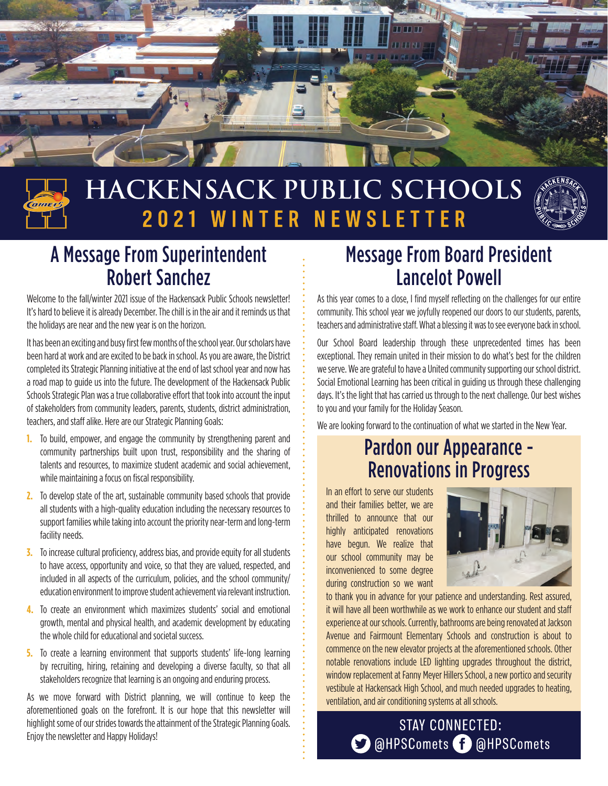



# **HACKENSACK PUBLIC SCHOOLS** 2021 WINTER NEWSLETTER



## A Message From Superintendent Robert Sanchez

Welcome to the fall/winter 2021 issue of the Hackensack Public Schools newsletter! It's hard to believe it is already December. The chill is in the air and it reminds us that the holidays are near and the new year is on the horizon.

It has been an exciting and busy first few months of the school year. Our scholars have been hard at work and are excited to be back in school. As you are aware, the District completed its Strategic Planning initiative at the end of last school year and now has a road map to guide us into the future. The development of the Hackensack Public Schools Strategic Plan was a true collaborative effort that took into account the input of stakeholders from community leaders, parents, students, district administration, teachers, and staff alike. Here are our Strategic Planning Goals:

- **1.** To build, empower, and engage the community by strengthening parent and community partnerships built upon trust, responsibility and the sharing of talents and resources, to maximize student academic and social achievement, while maintaining a focus on fiscal responsibility.
- **2.** To develop state of the art, sustainable community based schools that provide all students with a high-quality education including the necessary resources to support families while taking into account the priority near-term and long-term facility needs.
- **3.** To increase cultural proficiency, address bias, and provide equity for all students to have access, opportunity and voice, so that they are valued, respected, and included in all aspects of the curriculum, policies, and the school community/ education environment to improve student achievement via relevant instruction.
- **4.** To create an environment which maximizes students' social and emotional growth, mental and physical health, and academic development by educating the whole child for educational and societal success.
- **5.** To create a learning environment that supports students' life-long learning by recruiting, hiring, retaining and developing a diverse faculty, so that all stakeholders recognize that learning is an ongoing and enduring process.

As we move forward with District planning, we will continue to keep the aforementioned goals on the forefront. It is our hope that this newsletter will highlight some of our strides towards the attainment of the Strategic Planning Goals. Enjoy the newsletter and Happy Holidays!

## Message From Board President Lancelot Powell

As this year comes to a close, I find myself reflecting on the challenges for our entire community. This school year we joyfully reopened our doors to our students, parents, teachers and administrative staff. What a blessing it was to see everyone back in school.

Our School Board leadership through these unprecedented times has been exceptional. They remain united in their mission to do what's best for the children we serve. We are grateful to have a United community supporting our school district. Social Emotional Learning has been critical in guiding us through these challenging days. It's the light that has carried us through to the next challenge. Our best wishes to you and your family for the Holiday Season.

We are looking forward to the continuation of what we started in the New Year.

## Pardon our Appearance - Renovations in Progress

In an effort to serve our students and their families better, we are thrilled to announce that our highly anticipated renovations have begun. We realize that our school community may be inconvenienced to some degree during construction so we want



to thank you in advance for your patience and understanding. Rest assured, it will have all been worthwhile as we work to enhance our student and staff experience at our schools. Currently, bathrooms are being renovated at Jackson Avenue and Fairmount Elementary Schools and construction is about to commence on the new elevator projects at the aforementioned schools. Other notable renovations include LED lighting upgrades throughout the district, window replacement at Fanny Meyer Hillers School, a new portico and security vestibule at Hackensack High School, and much needed upgrades to heating, ventilation, and air conditioning systems at all schools.

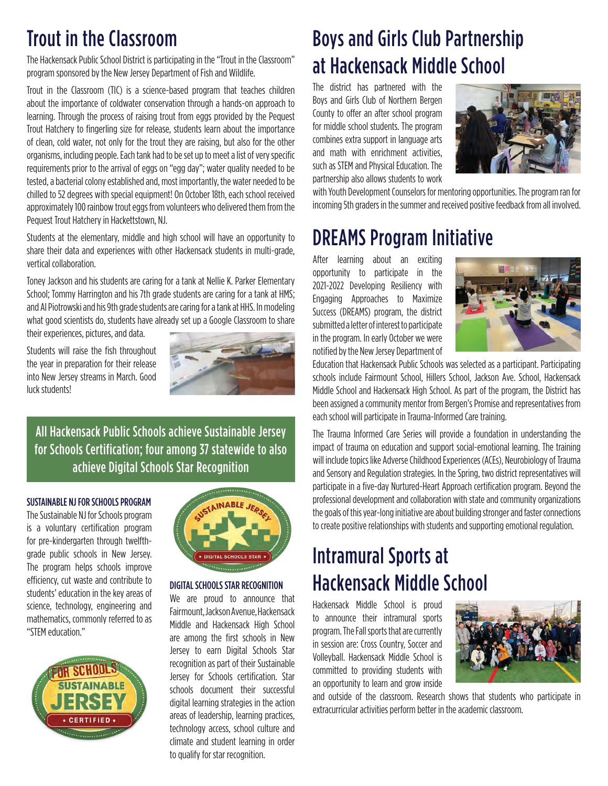## Trout in the Classroom

The Hackensack Public School District is participating in the "Trout in the Classroom" program sponsored by the New Jersey Department of Fish and Wildlife.

Trout in the Classroom (TIC) is a science-based program that teaches children about the importance of coldwater conservation through a hands-on approach to learning. Through the process of raising trout from eggs provided by the Pequest Trout Hatchery to fingerling size for release, students learn about the importance of clean, cold water, not only for the trout they are raising, but also for the other organisms, including people. Each tank had to be set up to meet a list of very specific requirements prior to the arrival of eggs on "egg day"; water quality needed to be tested, a bacterial colony established and, most importantly, the water needed to be chilled to 52 degrees with special equipment! On October 18th, each school received approximately 100 rainbow trout eggs from volunteers who delivered them from the Pequest Trout Hatchery in Hackettstown, NJ.

Students at the elementary, middle and high school will have an opportunity to share their data and experiences with other Hackensack students in multi-grade, vertical collaboration.

Toney Jackson and his students are caring for a tank at Nellie K. Parker Elementary School; Tommy Harrington and his 7th grade students are caring for a tank at HMS; and Al Piotrowski and his 9th grade students are caring for a tank at HHS. In modeling what good scientists do, students have already set up a Google Classroom to share their experiences, pictures, and data.

Students will raise the fish throughout the year in preparation for their release into New Jersey streams in March. Good

luck students!



All Hackensack Public Schools achieve Sustainable Jersey for Schools Certification; four among 37 statewide to also achieve Digital Schools Star Recognition

#### SUSTAINABLE NJ FOR SCHOOLS PROGRAM

The Sustainable NJ for Schools program is a voluntary certification program for pre-kindergarten through twelfthgrade public schools in New Jersey. The program helps schools improve efficiency, cut waste and contribute to students' education in the key areas of science, technology, engineering and mathematics, commonly referred to as "STEM education."





#### DIGITAL SCHOOLS STAR RECOGNITION

We are proud to announce that Fairmount, Jackson Avenue, Hackensack Middle and Hackensack High School are among the first schools in New Jersey to earn Digital Schools Star recognition as part of their Sustainable Jersey for Schools certification. Star schools document their successful digital learning strategies in the action areas of leadership, learning practices, technology access, school culture and climate and student learning in order to qualify for star recognition.

## Boys and Girls Club Partnership at Hackensack Middle School

The district has partnered with the Boys and Girls Club of Northern Bergen County to offer an after school program for middle school students. The program combines extra support in language arts and math with enrichment activities, such as STEM and Physical Education. The partnership also allows students to work



with Youth Development Counselors for mentoring opportunities. The program ran for incoming 5th graders in the summer and received positive feedback from all involved.

## DREAMS Program Initiative

After learning about an exciting opportunity to participate in the 2021-2022 Developing Resiliency with Engaging Approaches to Maximize Success (DREAMS) program, the district submitted a letter of interest to participate in the program. In early October we were notified by the New Jersey Department of



Education that Hackensack Public Schools was selected as a participant. Participating schools include Fairmount School, Hillers School, Jackson Ave. School, Hackensack Middle School and Hackensack High School. As part of the program, the District has been assigned a community mentor from Bergen's Promise and representatives from each school will participate in Trauma-Informed Care training.

The Trauma Informed Care Series will provide a foundation in understanding the impact of trauma on education and support social-emotional learning. The training will include topics like Adverse Childhood Experiences (ACEs), Neurobiology of Trauma and Sensory and Regulation strategies. In the Spring, two district representatives will participate in a five-day Nurtured-Heart Approach certification program. Beyond the professional development and collaboration with state and community organizations the goals of this year-long initiative are about building stronger and faster connections to create positive relationships with students and supporting emotional regulation.

## Intramural Sports at Hackensack Middle School

Hackensack Middle School is proud to announce their intramural sports program. The Fall sports that are currently in session are: Cross Country, Soccer and Volleyball. Hackensack Middle School is committed to providing students with an opportunity to learn and grow inside



and outside of the classroom. Research shows that students who participate in extracurricular activities perform better in the academic classroom.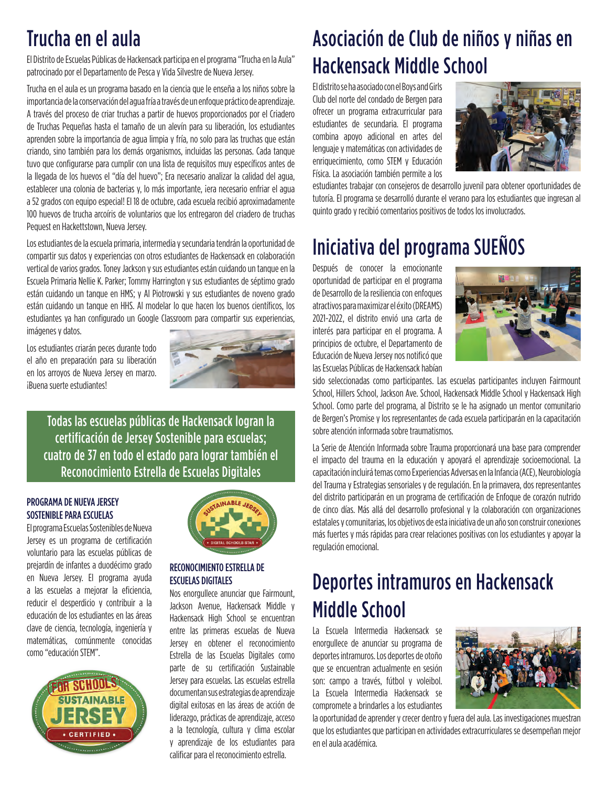## Trucha en el aula

El Distrito de Escuelas Públicas de Hackensack participa en el programa "Trucha en la Aula" patrocinado por el Departamento de Pesca y Vida Silvestre de Nueva Jersey.

Trucha en el aula es un programa basado en la ciencia que le enseña a los niños sobre la importancia de la conservación del agua fría a través de un enfoque práctico de aprendizaje. A través del proceso de criar truchas a partir de huevos proporcionados por el Criadero de Truchas Pequeñas hasta el tamaño de un alevín para su liberación, los estudiantes aprenden sobre la importancia de agua limpia y fría, no solo para las truchas que están criando, sino también para los demás organismos, incluidas las personas. Cada tanque tuvo que configurarse para cumplir con una lista de requisitos muy específicos antes de la llegada de los huevos el "día del huevo"; Era necesario analizar la calidad del agua, establecer una colonia de bacterias y, lo más importante, iera necesario enfriar el agua a 52 grados con equipo especial! El 18 de octubre, cada escuela recibió aproximadamente 100 huevos de trucha arcoíris de voluntarios que los entregaron del criadero de truchas Pequest en Hackettstown, Nueva Jersey.

Los estudiantes de la escuela primaria, intermedia y secundaria tendrán la oportunidad de compartir sus datos y experiencias con otros estudiantes de Hackensack en colaboración vertical de varios grados. Toney Jackson y sus estudiantes están cuidando un tanque en la Escuela Primaria Nellie K. Parker; Tommy Harrington y sus estudiantes de séptimo grado están cuidando un tanque en HMS; y Al Piotrowski y sus estudiantes de noveno grado están cuidando un tanque en HHS. Al modelar lo que hacen los buenos científicos, los estudiantes ya han configurado un Google Classroom para compartir sus experiencias, imágenes y datos.

Los estudiantes criarán peces durante todo el año en preparación para su liberación en los arroyos de Nueva Jersey en marzo. ¡Buena suerte estudiantes!



Todas las escuelas públicas de Hackensack logran la certificación de Jersey Sostenible para escuelas; cuatro de 37 en todo el estado para lograr también el Reconocimiento Estrella de Escuelas Digitales

#### PROGRAMA DE NUEVA JERSEY SOSTENIBLE PARA ESCUELAS

El programa Escuelas Sostenibles de Nueva Jersey es un programa de certificación voluntario para las escuelas públicas de prejardín de infantes a duodécimo grado en Nueva Jersey. El programa ayuda a las escuelas a mejorar la eficiencia, reducir el desperdicio y contribuir a la educación de los estudiantes en las áreas clave de ciencia, tecnología, ingeniería y matemáticas, comúnmente conocidas como "educación STEM".





#### RECONOCIMIENTO ESTRELLA DE ESCUELAS DIGITALES

Nos enorgullece anunciar que Fairmount, Jackson Avenue, Hackensack Middle y Hackensack High School se encuentran entre las primeras escuelas de Nueva Jersey en obtener el reconocimiento Estrella de las Escuelas Digitales como parte de su certificación Sustainable Jersey para escuelas. Las escuelas estrella documentan sus estrategias de aprendizaje digital exitosas en las áreas de acción de liderazgo, prácticas de aprendizaje, acceso a la tecnología, cultura y clima escolar y aprendizaje de los estudiantes para calificar para el reconocimiento estrella.

## Asociación de Club de niños y niñas en Hackensack Middle School

El distrito se ha asociado con el Boys and Girls Club del norte del condado de Bergen para ofrecer un programa extracurricular para estudiantes de secundaria. El programa combina apoyo adicional en artes del lenguaje y matemáticas con actividades de enriquecimiento, como STEM y Educación Física. La asociación también permite a los



estudiantes trabajar con consejeros de desarrollo juvenil para obtener oportunidades de tutoría. El programa se desarrolló durante el verano para los estudiantes que ingresan al quinto grado y recibió comentarios positivos de todos los involucrados.

## Iniciativa del programa SUEÑOS

Después de conocer la emocionante oportunidad de participar en el programa de Desarrollo de la resiliencia con enfoques atractivos para maximizar el éxito (DREAMS) 2021-2022, el distrito envió una carta de interés para participar en el programa. A principios de octubre, el Departamento de Educación de Nueva Jersey nos notificó que las Escuelas Públicas de Hackensack habían



sido seleccionadas como participantes. Las escuelas participantes incluyen Fairmount School, Hillers School, Jackson Ave. School, Hackensack Middle School y Hackensack High School. Como parte del programa, al Distrito se le ha asignado un mentor comunitario de Bergen's Promise y los representantes de cada escuela participarán en la capacitación sobre atención informada sobre traumatismos.

La Serie de Atención Informada sobre Trauma proporcionará una base para comprender el impacto del trauma en la educación y apoyará el aprendizaje socioemocional. La capacitación incluirá temas como Experiencias Adversas en la Infancia (ACE), Neurobiología del Trauma y Estrategias sensoriales y de regulación. En la primavera, dos representantes del distrito participarán en un programa de certificación de Enfoque de corazón nutrido de cinco días. Más allá del desarrollo profesional y la colaboración con organizaciones estatales y comunitarias, los objetivos de esta iniciativa de un año son construir conexiones más fuertes y más rápidas para crear relaciones positivas con los estudiantes y apoyar la regulación emocional.

## Deportes intramuros en Hackensack Middle School

La Escuela Intermedia Hackensack se enorgullece de anunciar su programa de deportes intramuros. Los deportes de otoño que se encuentran actualmente en sesión son: campo a través, fútbol y voleibol. La Escuela Intermedia Hackensack se compromete a brindarles a los estudiantes



la oportunidad de aprender y crecer dentro y fuera del aula. Las investigaciones muestran que los estudiantes que participan en actividades extracurriculares se desempeñan mejor en el aula académica.